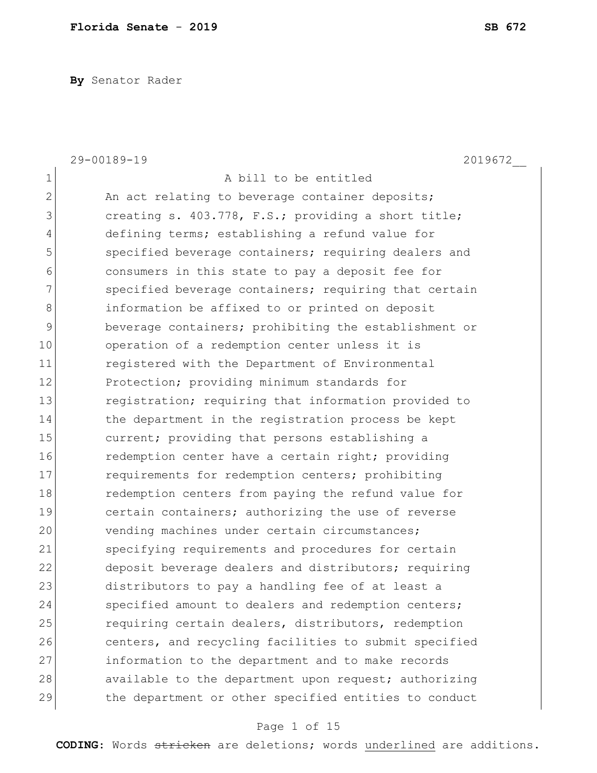**By** Senator Rader

|                | 29-00189-19<br>2019672                                |
|----------------|-------------------------------------------------------|
| $\mathbf 1$    | A bill to be entitled                                 |
| $\overline{2}$ | An act relating to beverage container deposits;       |
| 3              | creating s. 403.778, F.S.; providing a short title;   |
| 4              | defining terms; establishing a refund value for       |
| 5              | specified beverage containers; requiring dealers and  |
| 6              | consumers in this state to pay a deposit fee for      |
| $\overline{7}$ | specified beverage containers; requiring that certain |
| 8              | information be affixed to or printed on deposit       |
| 9              | beverage containers; prohibiting the establishment or |
| 10             | operation of a redemption center unless it is         |
| 11             | registered with the Department of Environmental       |
| 12             | Protection; providing minimum standards for           |
| 13             | registration; requiring that information provided to  |
| 14             | the department in the registration process be kept    |
| 15             | current; providing that persons establishing a        |
| 16             | redemption center have a certain right; providing     |
| 17             | requirements for redemption centers; prohibiting      |
| 18             | redemption centers from paying the refund value for   |
| 19             | certain containers; authorizing the use of reverse    |
| 20             | vending machines under certain circumstances;         |
| 21             | specifying requirements and procedures for certain    |
| 22             | deposit beverage dealers and distributors; requiring  |
| 23             | distributors to pay a handling fee of at least a      |
| 24             | specified amount to dealers and redemption centers;   |
| 25             | requiring certain dealers, distributors, redemption   |
| 26             | centers, and recycling facilities to submit specified |
| 27             | information to the department and to make records     |
| 28             | available to the department upon request; authorizing |
| 29             | the department or other specified entities to conduct |

# Page 1 of 15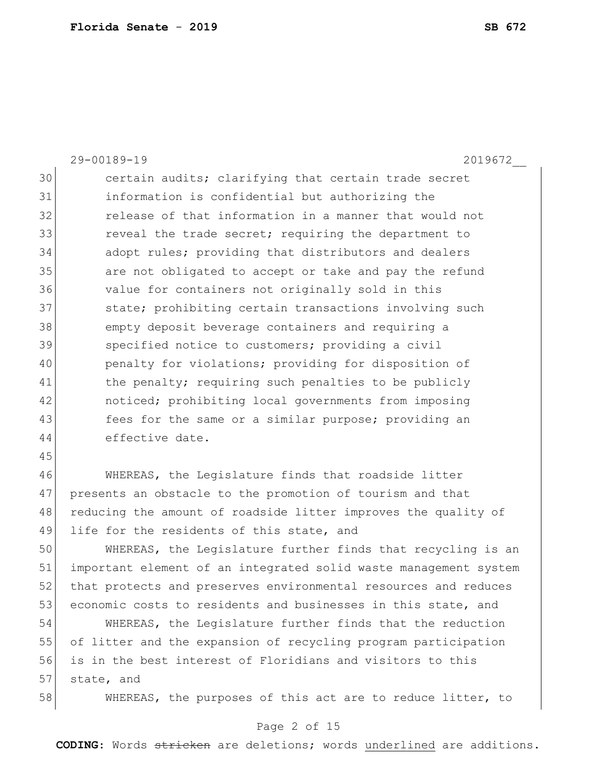|    | 29-00189-19<br>2019672                                           |
|----|------------------------------------------------------------------|
| 30 | certain audits; clarifying that certain trade secret             |
| 31 | information is confidential but authorizing the                  |
| 32 | release of that information in a manner that would not           |
| 33 | reveal the trade secret; requiring the department to             |
| 34 | adopt rules; providing that distributors and dealers             |
| 35 | are not obligated to accept or take and pay the refund           |
| 36 | value for containers not originally sold in this                 |
| 37 | state; prohibiting certain transactions involving such           |
| 38 | empty deposit beverage containers and requiring a                |
| 39 | specified notice to customers; providing a civil                 |
| 40 | penalty for violations; providing for disposition of             |
| 41 | the penalty; requiring such penalties to be publicly             |
| 42 | noticed; prohibiting local governments from imposing             |
| 43 | fees for the same or a similar purpose; providing an             |
| 44 | effective date.                                                  |
| 45 |                                                                  |
| 46 | WHEREAS, the Legislature finds that roadside litter              |
| 47 | presents an obstacle to the promotion of tourism and that        |
| 48 | reducing the amount of roadside litter improves the quality of   |
| 49 | life for the residents of this state, and                        |
| 50 | WHEREAS, the Legislature further finds that recycling is an      |
| 51 | important element of an integrated solid waste management system |
| 52 | that protects and preserves environmental resources and reduces  |
| 53 | economic costs to residents and businesses in this state, and    |
| 54 | WHEREAS, the Legislature further finds that the reduction        |
| 55 | of litter and the expansion of recycling program participation   |
| 56 | is in the best interest of Floridians and visitors to this       |
| 57 | state, and                                                       |
| 58 | WHEREAS, the purposes of this act are to reduce litter, to       |

# Page 2 of 15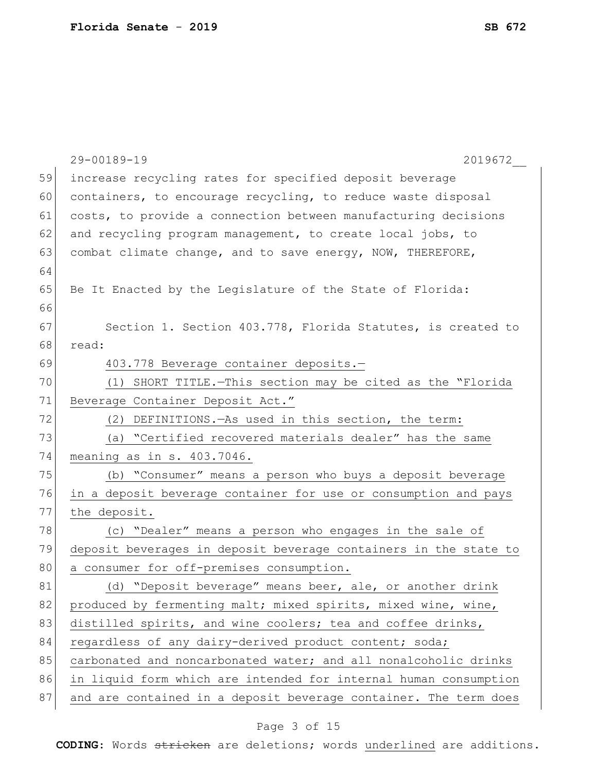|    | 29-00189-19<br>2019672                                           |
|----|------------------------------------------------------------------|
| 59 | increase recycling rates for specified deposit beverage          |
| 60 | containers, to encourage recycling, to reduce waste disposal     |
| 61 | costs, to provide a connection between manufacturing decisions   |
| 62 | and recycling program management, to create local jobs, to       |
| 63 | combat climate change, and to save energy, NOW, THEREFORE,       |
| 64 |                                                                  |
| 65 | Be It Enacted by the Legislature of the State of Florida:        |
| 66 |                                                                  |
| 67 | Section 1. Section 403.778, Florida Statutes, is created to      |
| 68 | read:                                                            |
| 69 | 403.778 Beverage container deposits.-                            |
| 70 | (1) SHORT TITLE. - This section may be cited as the "Florida     |
| 71 | Beverage Container Deposit Act."                                 |
| 72 | (2) DEFINITIONS. - As used in this section, the term:            |
| 73 | (a) "Certified recovered materials dealer" has the same          |
| 74 | meaning as in s. 403.7046.                                       |
| 75 | (b) "Consumer" means a person who buys a deposit beverage        |
| 76 | in a deposit beverage container for use or consumption and pays  |
| 77 | the deposit.                                                     |
| 78 | (c) "Dealer" means a person who engages in the sale of           |
| 79 | deposit beverages in deposit beverage containers in the state to |
| 80 | a consumer for off-premises consumption.                         |
| 81 | (d) "Deposit beverage" means beer, ale, or another drink         |
| 82 | produced by fermenting malt; mixed spirits, mixed wine, wine,    |
| 83 | distilled spirits, and wine coolers; tea and coffee drinks,      |
| 84 | regardless of any dairy-derived product content; soda;           |
| 85 | carbonated and noncarbonated water; and all nonalcoholic drinks  |
| 86 | in liquid form which are intended for internal human consumption |
| 87 | and are contained in a deposit beverage container. The term does |
|    |                                                                  |

# Page 3 of 15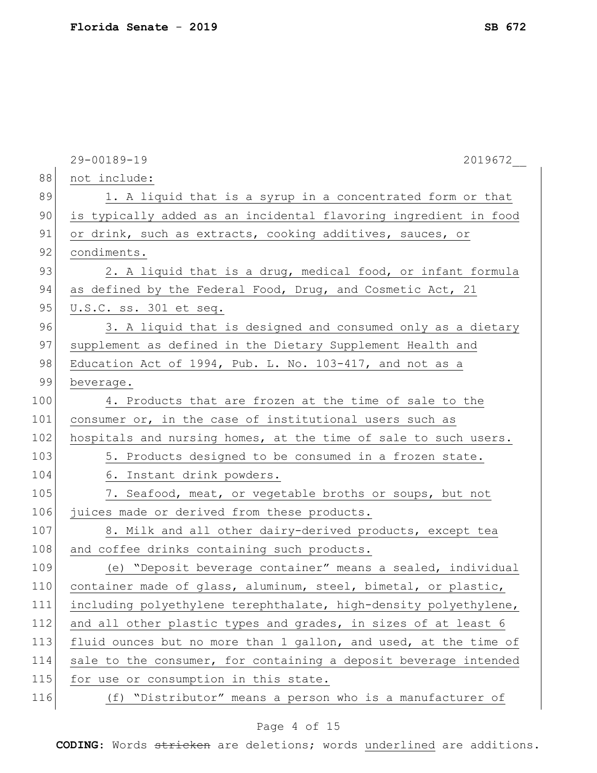|     | 29-00189-19<br>2019672                                           |
|-----|------------------------------------------------------------------|
| 88  | not include:                                                     |
| 89  | 1. A liquid that is a syrup in a concentrated form or that       |
| 90  | is typically added as an incidental flavoring ingredient in food |
| 91  | or drink, such as extracts, cooking additives, sauces, or        |
| 92  | condiments.                                                      |
| 93  | 2. A liquid that is a drug, medical food, or infant formula      |
| 94  | as defined by the Federal Food, Drug, and Cosmetic Act, 21       |
| 95  | U.S.C. ss. 301 et seq.                                           |
| 96  | 3. A liquid that is designed and consumed only as a dietary      |
| 97  | supplement as defined in the Dietary Supplement Health and       |
| 98  | Education Act of 1994, Pub. L. No. 103-417, and not as a         |
| 99  | beverage.                                                        |
| 100 | 4. Products that are frozen at the time of sale to the           |
| 101 | consumer or, in the case of institutional users such as          |
| 102 | hospitals and nursing homes, at the time of sale to such users.  |
| 103 | 5. Products designed to be consumed in a frozen state.           |
| 104 | 6. Instant drink powders.                                        |
| 105 | 7. Seafood, meat, or vegetable broths or soups, but not          |
| 106 | juices made or derived from these products.                      |
| 107 | 8. Milk and all other dairy-derived products, except tea         |
| 108 | and coffee drinks containing such products.                      |
| 109 | (e) "Deposit beverage container" means a sealed, individual      |
| 110 | container made of glass, aluminum, steel, bimetal, or plastic,   |
| 111 | including polyethylene terephthalate, high-density polyethylene, |
| 112 | and all other plastic types and grades, in sizes of at least 6   |
| 113 | fluid ounces but no more than 1 gallon, and used, at the time of |
| 114 | sale to the consumer, for containing a deposit beverage intended |
| 115 | for use or consumption in this state.                            |
| 116 | (f) "Distributor" means a person who is a manufacturer of        |

# Page 4 of 15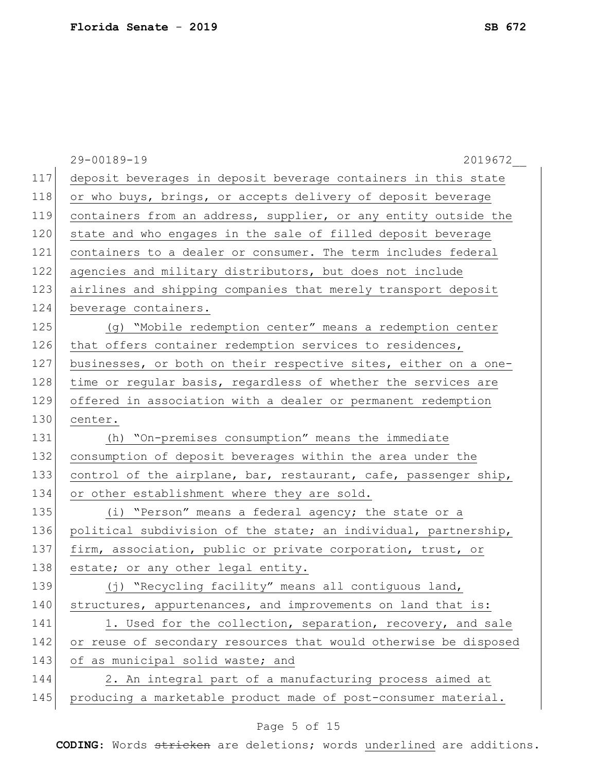|     | 29-00189-19<br>2019672                                           |
|-----|------------------------------------------------------------------|
| 117 | deposit beverages in deposit beverage containers in this state   |
| 118 | or who buys, brings, or accepts delivery of deposit beverage     |
| 119 | containers from an address, supplier, or any entity outside the  |
| 120 | state and who engages in the sale of filled deposit beverage     |
| 121 | containers to a dealer or consumer. The term includes federal    |
| 122 | agencies and military distributors, but does not include         |
| 123 | airlines and shipping companies that merely transport deposit    |
| 124 | beverage containers.                                             |
| 125 | (g) "Mobile redemption center" means a redemption center         |
| 126 | that offers container redemption services to residences,         |
| 127 | businesses, or both on their respective sites, either on a one-  |
| 128 | time or regular basis, regardless of whether the services are    |
| 129 | offered in association with a dealer or permanent redemption     |
| 130 | center.                                                          |
| 131 | (h) "On-premises consumption" means the immediate                |
| 132 | consumption of deposit beverages within the area under the       |
| 133 | control of the airplane, bar, restaurant, cafe, passenger ship,  |
| 134 | or other establishment where they are sold.                      |
| 135 | (i) "Person" means a federal agency; the state or a              |
| 136 | political subdivision of the state; an individual, partnership,  |
| 137 | firm, association, public or private corporation, trust, or      |
| 138 | estate; or any other legal entity.                               |
| 139 | (j) "Recycling facility" means all contiguous land,              |
| 140 | structures, appurtenances, and improvements on land that is:     |
| 141 | 1. Used for the collection, separation, recovery, and sale       |
| 142 | or reuse of secondary resources that would otherwise be disposed |
| 143 | of as municipal solid waste; and                                 |
| 144 | 2. An integral part of a manufacturing process aimed at          |
| 145 | producing a marketable product made of post-consumer material.   |

# Page 5 of 15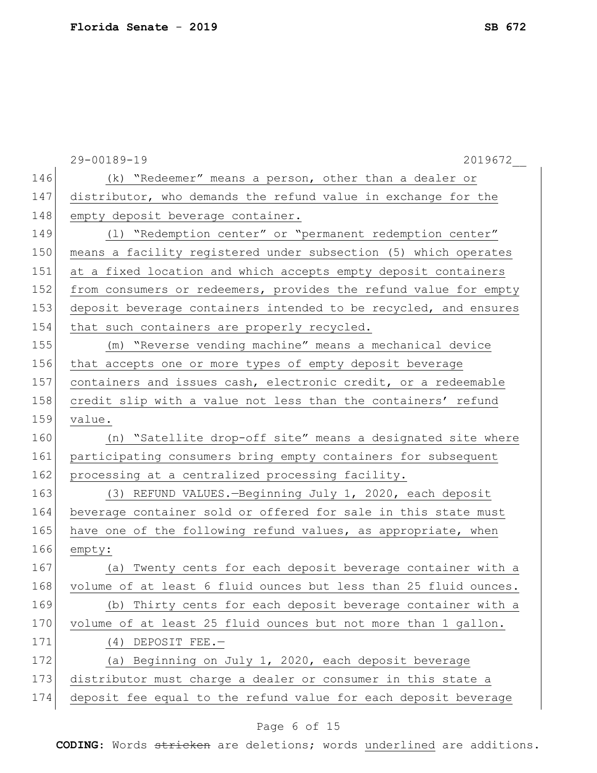|     | 29-00189-19<br>2019672                                           |
|-----|------------------------------------------------------------------|
| 146 | (k) "Redeemer" means a person, other than a dealer or            |
| 147 | distributor, who demands the refund value in exchange for the    |
| 148 | empty deposit beverage container.                                |
| 149 | (1) "Redemption center" or "permanent redemption center"         |
| 150 | means a facility registered under subsection (5) which operates  |
| 151 | at a fixed location and which accepts empty deposit containers   |
| 152 | from consumers or redeemers, provides the refund value for empty |
| 153 | deposit beverage containers intended to be recycled, and ensures |
| 154 | that such containers are properly recycled.                      |
| 155 | (m) "Reverse vending machine" means a mechanical device          |
| 156 | that accepts one or more types of empty deposit beverage         |
| 157 | containers and issues cash, electronic credit, or a redeemable   |
| 158 | credit slip with a value not less than the containers' refund    |
| 159 | value.                                                           |
| 160 | (n) "Satellite drop-off site" means a designated site where      |
| 161 | participating consumers bring empty containers for subsequent    |
| 162 | processing at a centralized processing facility.                 |
| 163 | (3) REFUND VALUES.-Beginning July 1, 2020, each deposit          |
| 164 | beverage container sold or offered for sale in this state must   |
| 165 | have one of the following refund values, as appropriate, when    |
| 166 | empty:                                                           |
| 167 | Twenty cents for each deposit beverage container with a<br>(a)   |
| 168 | volume of at least 6 fluid ounces but less than 25 fluid ounces. |
| 169 | (b) Thirty cents for each deposit beverage container with a      |
| 170 | volume of at least 25 fluid ounces but not more than 1 gallon.   |
| 171 | $(4)$ DEPOSIT FEE.-                                              |
| 172 | (a) Beginning on July 1, 2020, each deposit beverage             |
| 173 | distributor must charge a dealer or consumer in this state a     |
| 174 | deposit fee equal to the refund value for each deposit beverage  |
|     |                                                                  |

# Page 6 of 15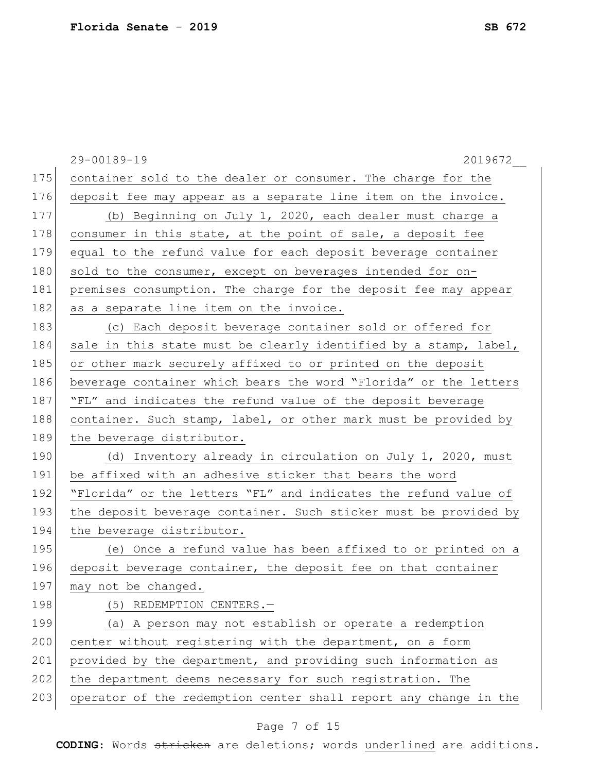|     | 2019672<br>29-00189-19                                           |
|-----|------------------------------------------------------------------|
| 175 | container sold to the dealer or consumer. The charge for the     |
| 176 | deposit fee may appear as a separate line item on the invoice.   |
| 177 | (b) Beginning on July 1, 2020, each dealer must charge a         |
| 178 | consumer in this state, at the point of sale, a deposit fee      |
| 179 | equal to the refund value for each deposit beverage container    |
| 180 | sold to the consumer, except on beverages intended for on-       |
| 181 | premises consumption. The charge for the deposit fee may appear  |
| 182 | as a separate line item on the invoice.                          |
| 183 | (c) Each deposit beverage container sold or offered for          |
| 184 | sale in this state must be clearly identified by a stamp, label, |
| 185 | or other mark securely affixed to or printed on the deposit      |
| 186 | beverage container which bears the word "Florida" or the letters |
| 187 | "FL" and indicates the refund value of the deposit beverage      |
| 188 | container. Such stamp, label, or other mark must be provided by  |
| 189 | the beverage distributor.                                        |
| 190 | (d) Inventory already in circulation on July 1, 2020, must       |
| 191 | be affixed with an adhesive sticker that bears the word          |
| 192 | "Florida" or the letters "FL" and indicates the refund value of  |
| 193 | the deposit beverage container. Such sticker must be provided by |
| 194 | the beverage distributor.                                        |
| 195 | (e) Once a refund value has been affixed to or printed on a      |
| 196 | deposit beverage container, the deposit fee on that container    |
| 197 | may not be changed.                                              |
| 198 | (5) REDEMPTION CENTERS.-                                         |
| 199 | (a) A person may not establish or operate a redemption           |
| 200 | center without registering with the department, on a form        |
| 201 | provided by the department, and providing such information as    |
| 202 | the department deems necessary for such registration. The        |
| 203 | operator of the redemption center shall report any change in the |

# Page 7 of 15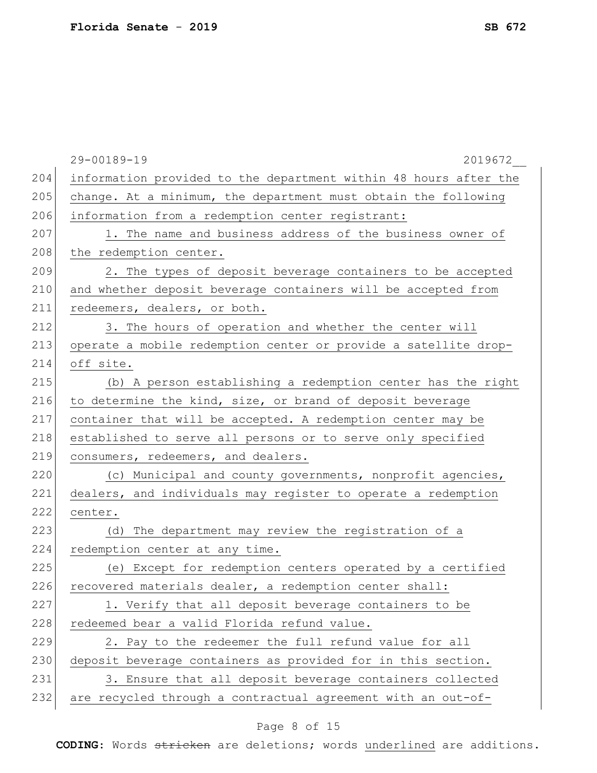|     | 29-00189-19<br>2019672                                           |
|-----|------------------------------------------------------------------|
| 204 | information provided to the department within 48 hours after the |
| 205 | change. At a minimum, the department must obtain the following   |
| 206 | information from a redemption center registrant:                 |
| 207 | 1. The name and business address of the business owner of        |
| 208 | the redemption center.                                           |
| 209 | 2. The types of deposit beverage containers to be accepted       |
| 210 | and whether deposit beverage containers will be accepted from    |
| 211 | redeemers, dealers, or both.                                     |
| 212 | 3. The hours of operation and whether the center will            |
| 213 | operate a mobile redemption center or provide a satellite drop-  |
| 214 | off site.                                                        |
| 215 | (b) A person establishing a redemption center has the right      |
| 216 | to determine the kind, size, or brand of deposit beverage        |
| 217 | container that will be accepted. A redemption center may be      |
| 218 | established to serve all persons or to serve only specified      |
| 219 | consumers, redeemers, and dealers.                               |
| 220 | (c) Municipal and county governments, nonprofit agencies,        |
| 221 | dealers, and individuals may register to operate a redemption    |
| 222 | center.                                                          |
| 223 | (d) The department may review the registration of a              |
| 224 | redemption center at any time.                                   |
| 225 | (e) Except for redemption centers operated by a certified        |
| 226 | recovered materials dealer, a redemption center shall:           |
| 227 | 1. Verify that all deposit beverage containers to be             |
| 228 | redeemed bear a valid Florida refund value.                      |
| 229 | 2. Pay to the redeemer the full refund value for all             |
| 230 | deposit beverage containers as provided for in this section.     |
| 231 | 3. Ensure that all deposit beverage containers collected         |
| 232 | are recycled through a contractual agreement with an out-of-     |
|     |                                                                  |

# Page 8 of 15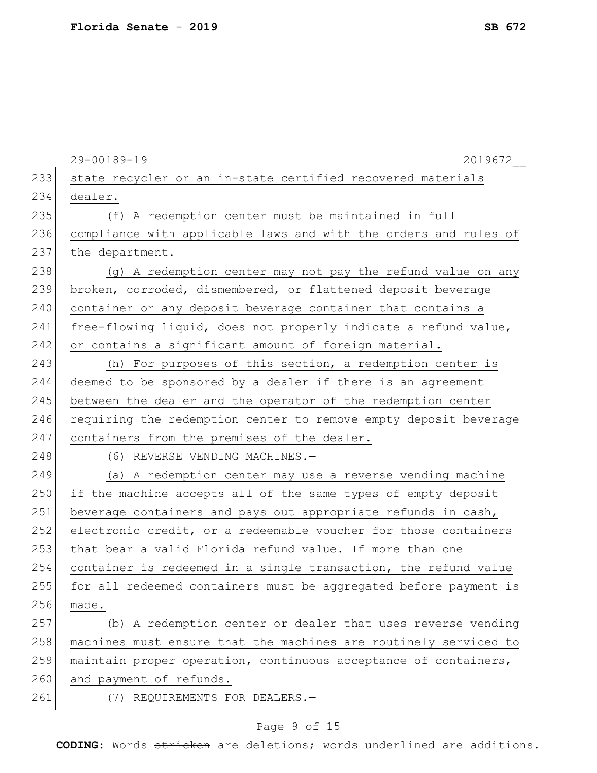|     | 29-00189-19<br>2019672                                           |
|-----|------------------------------------------------------------------|
| 233 | state recycler or an in-state certified recovered materials      |
| 234 | dealer.                                                          |
| 235 | (f) A redemption center must be maintained in full               |
| 236 | compliance with applicable laws and with the orders and rules of |
| 237 | the department.                                                  |
| 238 | (g) A redemption center may not pay the refund value on any      |
| 239 | broken, corroded, dismembered, or flattened deposit beverage     |
| 240 | container or any deposit beverage container that contains a      |
| 241 | free-flowing liquid, does not properly indicate a refund value,  |
| 242 | or contains a significant amount of foreign material.            |
| 243 | (h) For purposes of this section, a redemption center is         |
| 244 | deemed to be sponsored by a dealer if there is an agreement      |
| 245 | between the dealer and the operator of the redemption center     |
| 246 | requiring the redemption center to remove empty deposit beverage |
| 247 | containers from the premises of the dealer.                      |
| 248 | (6) REVERSE VENDING MACHINES.-                                   |
| 249 | (a) A redemption center may use a reverse vending machine        |
| 250 | if the machine accepts all of the same types of empty deposit    |
| 251 | beverage containers and pays out appropriate refunds in cash,    |
| 252 | electronic credit, or a redeemable voucher for those containers  |
| 253 | that bear a valid Florida refund value. If more than one         |
| 254 | container is redeemed in a single transaction, the refund value  |
| 255 | for all redeemed containers must be aggregated before payment is |
| 256 | made.                                                            |
| 257 | (b) A redemption center or dealer that uses reverse vending      |
| 258 | machines must ensure that the machines are routinely serviced to |
| 259 | maintain proper operation, continuous acceptance of containers,  |
| 260 | and payment of refunds.                                          |
| 261 | REQUIREMENTS FOR DEALERS.-<br>(7)                                |
|     |                                                                  |

# Page 9 of 15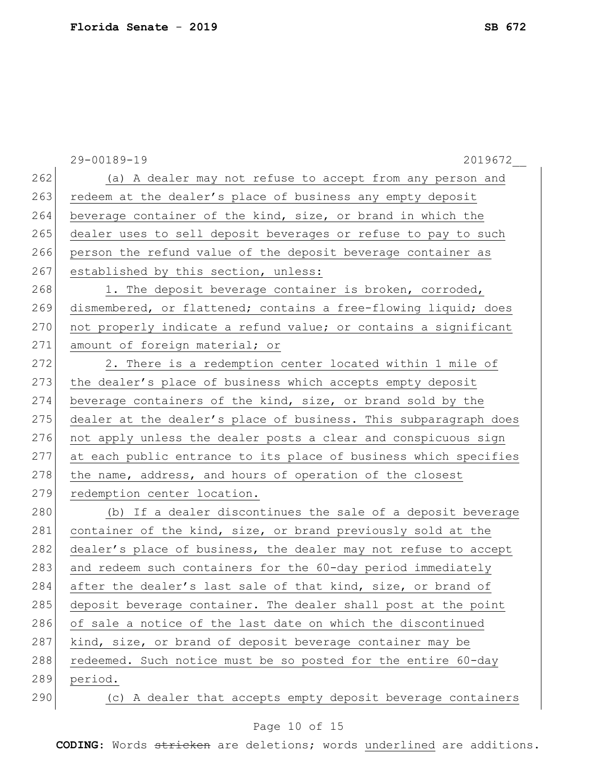|     | 29-00189-19<br>2019672                                           |
|-----|------------------------------------------------------------------|
| 262 | (a) A dealer may not refuse to accept from any person and        |
| 263 | redeem at the dealer's place of business any empty deposit       |
| 264 | beverage container of the kind, size, or brand in which the      |
| 265 | dealer uses to sell deposit beverages or refuse to pay to such   |
| 266 | person the refund value of the deposit beverage container as     |
| 267 | established by this section, unless:                             |
| 268 | 1. The deposit beverage container is broken, corroded,           |
| 269 | dismembered, or flattened; contains a free-flowing liquid; does  |
| 270 | not properly indicate a refund value; or contains a significant  |
| 271 | amount of foreign material; or                                   |
| 272 | 2. There is a redemption center located within 1 mile of         |
| 273 | the dealer's place of business which accepts empty deposit       |
| 274 | beverage containers of the kind, size, or brand sold by the      |
| 275 | dealer at the dealer's place of business. This subparagraph does |
| 276 | not apply unless the dealer posts a clear and conspicuous sign   |
| 277 | at each public entrance to its place of business which specifies |
| 278 | the name, address, and hours of operation of the closest         |
| 279 | redemption center location.                                      |
| 280 | (b) If a dealer discontinues the sale of a deposit beverage      |
| 281 | container of the kind, size, or brand previously sold at the     |
| 282 | dealer's place of business, the dealer may not refuse to accept  |
| 283 | and redeem such containers for the 60-day period immediately     |
| 284 | after the dealer's last sale of that kind, size, or brand of     |
| 285 | deposit beverage container. The dealer shall post at the point   |
| 286 | of sale a notice of the last date on which the discontinued      |
| 287 | kind, size, or brand of deposit beverage container may be        |
| 288 | redeemed. Such notice must be so posted for the entire 60-day    |
| 289 | period.                                                          |
| 290 | (c) A dealer that accepts empty deposit beverage containers      |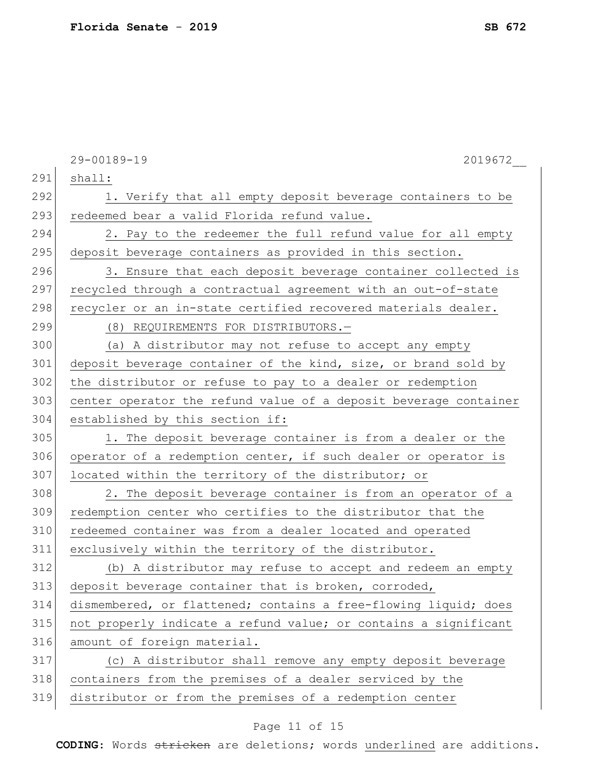|     | 29-00189-19<br>2019672                                           |
|-----|------------------------------------------------------------------|
| 291 | shall:                                                           |
| 292 | 1. Verify that all empty deposit beverage containers to be       |
| 293 | redeemed bear a valid Florida refund value.                      |
| 294 | 2. Pay to the redeemer the full refund value for all empty       |
| 295 | deposit beverage containers as provided in this section.         |
| 296 | 3. Ensure that each deposit beverage container collected is      |
| 297 | recycled through a contractual agreement with an out-of-state    |
| 298 | recycler or an in-state certified recovered materials dealer.    |
| 299 | (8) REQUIREMENTS FOR DISTRIBUTORS.-                              |
| 300 | (a) A distributor may not refuse to accept any empty             |
| 301 | deposit beverage container of the kind, size, or brand sold by   |
| 302 | the distributor or refuse to pay to a dealer or redemption       |
| 303 | center operator the refund value of a deposit beverage container |
| 304 | established by this section if:                                  |
| 305 | 1. The deposit beverage container is from a dealer or the        |
| 306 | operator of a redemption center, if such dealer or operator is   |
| 307 | located within the territory of the distributor; or              |
| 308 | 2. The deposit beverage container is from an operator of a       |
| 309 | redemption center who certifies to the distributor that the      |
| 310 | redeemed container was from a dealer located and operated        |
| 311 | exclusively within the territory of the distributor.             |
| 312 | (b) A distributor may refuse to accept and redeem an empty       |
| 313 | deposit beverage container that is broken, corroded,             |
| 314 | dismembered, or flattened; contains a free-flowing liquid; does  |
| 315 | not properly indicate a refund value; or contains a significant  |
| 316 | amount of foreign material.                                      |
| 317 | (c) A distributor shall remove any empty deposit beverage        |
| 318 | containers from the premises of a dealer serviced by the         |
| 319 | distributor or from the premises of a redemption center          |
|     |                                                                  |

# Page 11 of 15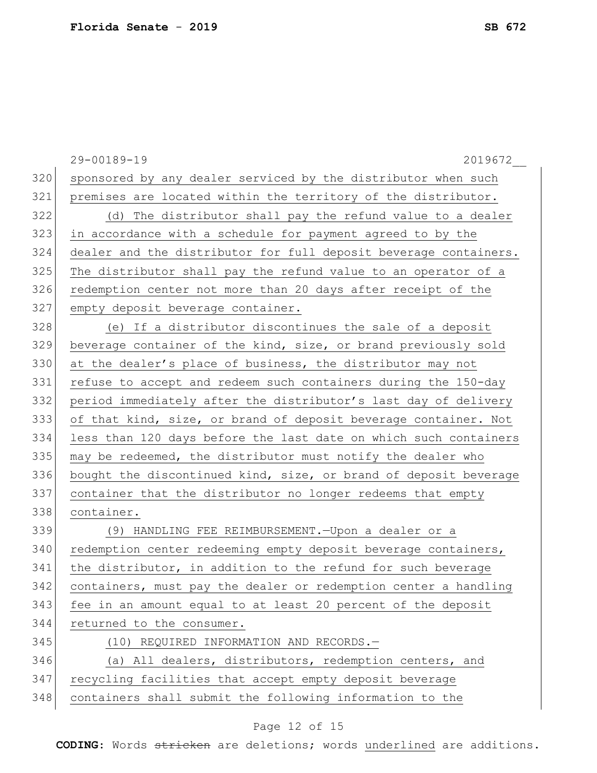|     | 29-00189-19<br>2019672                                           |
|-----|------------------------------------------------------------------|
| 320 | sponsored by any dealer serviced by the distributor when such    |
| 321 | premises are located within the territory of the distributor.    |
| 322 | (d) The distributor shall pay the refund value to a dealer       |
| 323 | in accordance with a schedule for payment agreed to by the       |
| 324 | dealer and the distributor for full deposit beverage containers. |
| 325 | The distributor shall pay the refund value to an operator of a   |
| 326 | redemption center not more than 20 days after receipt of the     |
| 327 | empty deposit beverage container.                                |
| 328 | (e) If a distributor discontinues the sale of a deposit          |
| 329 | beverage container of the kind, size, or brand previously sold   |
| 330 | at the dealer's place of business, the distributor may not       |
| 331 | refuse to accept and redeem such containers during the 150-day   |
| 332 | period immediately after the distributor's last day of delivery  |
| 333 | of that kind, size, or brand of deposit beverage container. Not  |
| 334 | less than 120 days before the last date on which such containers |
| 335 | may be redeemed, the distributor must notify the dealer who      |
| 336 | bought the discontinued kind, size, or brand of deposit beverage |
| 337 | container that the distributor no longer redeems that empty      |
| 338 | container.                                                       |
| 339 | (9) HANDLING FEE REIMBURSEMENT. - Upon a dealer or a             |
| 340 | redemption center redeeming empty deposit beverage containers,   |
| 341 | the distributor, in addition to the refund for such beverage     |
| 342 | containers, must pay the dealer or redemption center a handling  |
| 343 | fee in an amount equal to at least 20 percent of the deposit     |
| 344 | returned to the consumer.                                        |
| 345 | (10) REQUIRED INFORMATION AND RECORDS.-                          |
| 346 | (a) All dealers, distributors, redemption centers, and           |
| 347 | recycling facilities that accept empty deposit beverage          |
| 348 | containers shall submit the following information to the         |

# Page 12 of 15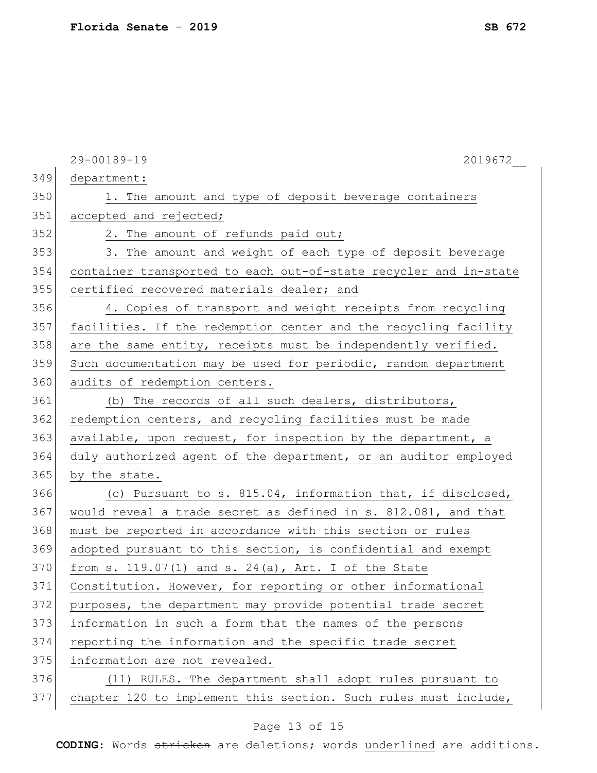|     | 29-00189-19<br>2019672                                           |
|-----|------------------------------------------------------------------|
| 349 | department:                                                      |
| 350 | 1. The amount and type of deposit beverage containers            |
| 351 | accepted and rejected;                                           |
| 352 | 2. The amount of refunds paid out;                               |
| 353 | 3. The amount and weight of each type of deposit beverage        |
| 354 | container transported to each out-of-state recycler and in-state |
| 355 | certified recovered materials dealer; and                        |
| 356 | 4. Copies of transport and weight receipts from recycling        |
| 357 | facilities. If the redemption center and the recycling facility  |
| 358 | are the same entity, receipts must be independently verified.    |
| 359 | Such documentation may be used for periodic, random department   |
| 360 | audits of redemption centers.                                    |
| 361 | (b) The records of all such dealers, distributors,               |
| 362 | redemption centers, and recycling facilities must be made        |
| 363 | available, upon request, for inspection by the department, a     |
| 364 | duly authorized agent of the department, or an auditor employed  |
| 365 | by the state.                                                    |
| 366 | (c) Pursuant to s. 815.04, information that, if disclosed,       |
| 367 | would reveal a trade secret as defined in s. 812.081, and that   |
| 368 | must be reported in accordance with this section or rules        |
| 369 | adopted pursuant to this section, is confidential and exempt     |
| 370 | from s. $119.07(1)$ and s. $24(a)$ , Art. I of the State         |
| 371 | Constitution. However, for reporting or other informational      |
| 372 | purposes, the department may provide potential trade secret      |
| 373 | information in such a form that the names of the persons         |
| 374 | reporting the information and the specific trade secret          |
| 375 | information are not revealed.                                    |
| 376 | (11) RULES.-The department shall adopt rules pursuant to         |
| 377 | chapter 120 to implement this section. Such rules must include,  |
|     |                                                                  |

# Page 13 of 15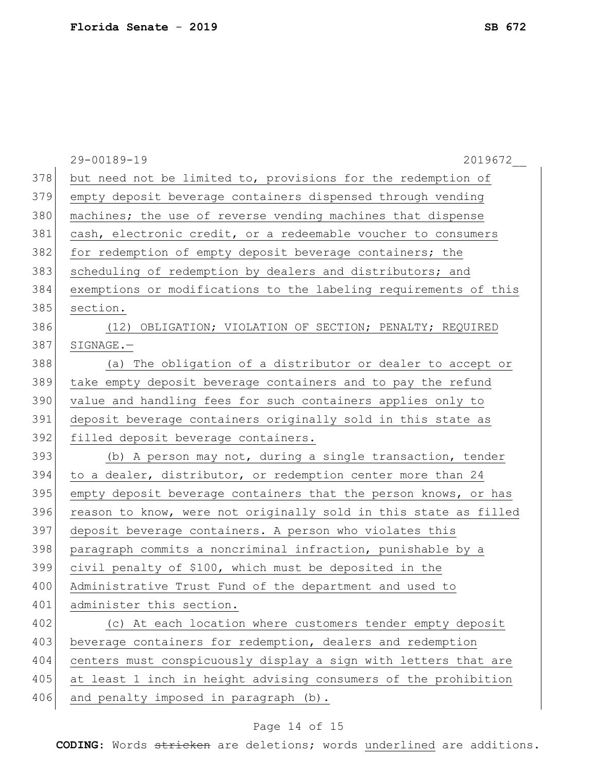|     | 29-00189-19<br>2019672                                           |
|-----|------------------------------------------------------------------|
| 378 | but need not be limited to, provisions for the redemption of     |
| 379 | empty deposit beverage containers dispensed through vending      |
| 380 | machines; the use of reverse vending machines that dispense      |
| 381 | cash, electronic credit, or a redeemable voucher to consumers    |
| 382 | for redemption of empty deposit beverage containers; the         |
| 383 | scheduling of redemption by dealers and distributors; and        |
| 384 | exemptions or modifications to the labeling requirements of this |
| 385 | section.                                                         |
| 386 | (12) OBLIGATION; VIOLATION OF SECTION; PENALTY; REQUIRED         |
| 387 | SIGNAGE.-                                                        |
| 388 | (a) The obligation of a distributor or dealer to accept or       |
| 389 | take empty deposit beverage containers and to pay the refund     |
| 390 | value and handling fees for such containers applies only to      |
| 391 | deposit beverage containers originally sold in this state as     |
| 392 | filled deposit beverage containers.                              |
| 393 | (b) A person may not, during a single transaction, tender        |
| 394 | to a dealer, distributor, or redemption center more than 24      |
| 395 | empty deposit beverage containers that the person knows, or has  |
| 396 | reason to know, were not originally sold in this state as filled |
| 397 | deposit beverage containers. A person who violates this          |
| 398 | paragraph commits a noncriminal infraction, punishable by a      |
| 399 | civil penalty of \$100, which must be deposited in the           |
| 400 | Administrative Trust Fund of the department and used to          |
| 401 | administer this section.                                         |
| 402 | (c) At each location where customers tender empty deposit        |
| 403 | beverage containers for redemption, dealers and redemption       |
| 404 | centers must conspicuously display a sign with letters that are  |
| 405 | at least 1 inch in height advising consumers of the prohibition  |
| 406 | and penalty imposed in paragraph (b).                            |
|     |                                                                  |

# Page 14 of 15